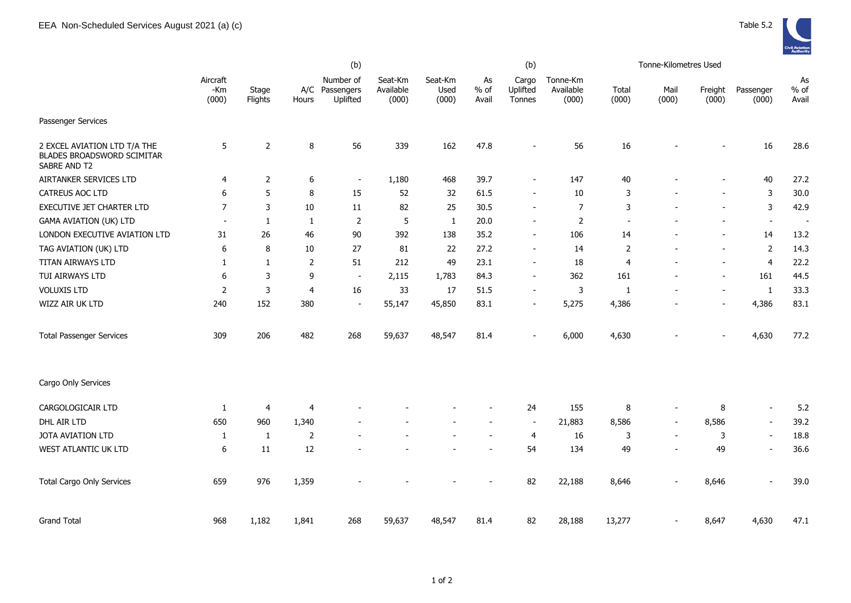|                                                                                   | (b)                      |                  |                |                                         |                               |                          |                     | (b)                                |                                |                | Tonne-Kilometres Used    |                          |                          |                          |
|-----------------------------------------------------------------------------------|--------------------------|------------------|----------------|-----------------------------------------|-------------------------------|--------------------------|---------------------|------------------------------------|--------------------------------|----------------|--------------------------|--------------------------|--------------------------|--------------------------|
|                                                                                   | Aircraft<br>-Km<br>(000) | Stage<br>Flights | Hours          | Number of<br>A/C Passengers<br>Uplifted | Seat-Km<br>Available<br>(000) | Seat-Km<br>Used<br>(000) | As<br>% of<br>Avail | Cargo<br>Uplifted<br><b>Tonnes</b> | Tonne-Km<br>Available<br>(000) | Total<br>(000) | Mail<br>(000)            | Freight<br>(000)         | Passenger<br>(000)       | As<br>$%$ of<br>Avail    |
| Passenger Services                                                                |                          |                  |                |                                         |                               |                          |                     |                                    |                                |                |                          |                          |                          |                          |
| 2 EXCEL AVIATION LTD T/A THE<br><b>BLADES BROADSWORD SCIMITAR</b><br>SABRE AND T2 | 5                        | 2                | 8              | 56                                      | 339                           | 162                      | 47.8                |                                    | 56                             | 16             |                          |                          | 16                       | 28.6                     |
| AIRTANKER SERVICES LTD                                                            | 4                        | 2                | 6              | $\overline{\phantom{a}}$                | 1,180                         | 468                      | 39.7                | $\blacksquare$                     | 147                            | 40             |                          |                          | 40                       | 27.2                     |
| CATREUS AOC LTD                                                                   | 6                        | 5                | 8              | 15                                      | 52                            | 32                       | 61.5                | $\overline{\phantom{a}}$           | 10                             | 3              |                          | $\overline{a}$           | 3                        | 30.0                     |
| EXECUTIVE JET CHARTER LTD                                                         | $\overline{7}$           | 3                | 10             | 11                                      | 82                            | 25                       | 30.5                | $\blacksquare$                     | 7                              | 3              |                          |                          | $\mathsf 3$              | 42.9                     |
| <b>GAMA AVIATION (UK) LTD</b>                                                     | $\overline{\phantom{a}}$ | 1                | 1              | $\overline{2}$                          | $\sqrt{5}$                    | 1                        | 20.0                | $\overline{\phantom{a}}$           | $\overline{2}$                 |                |                          |                          | $\blacksquare$           | $\overline{\phantom{a}}$ |
| LONDON EXECUTIVE AVIATION LTD                                                     | 31                       | 26               | 46             | 90                                      | 392                           | 138                      | 35.2                | $\overline{\phantom{a}}$           | 106                            | 14             |                          | $\overline{\phantom{a}}$ | 14                       | 13.2                     |
| TAG AVIATION (UK) LTD                                                             | 6                        | 8                | 10             | 27                                      | 81                            | 22                       | 27.2                | $\overline{\phantom{a}}$           | 14                             | $\overline{2}$ |                          | $\overline{\phantom{a}}$ | $\overline{2}$           | 14.3                     |
| TITAN AIRWAYS LTD                                                                 | 1                        | 1                | $\overline{2}$ | 51                                      | 212                           | 49                       | 23.1                | $\overline{\phantom{a}}$           | 18                             | 4              |                          | $\blacksquare$           | 4                        | 22.2                     |
| TUI AIRWAYS LTD                                                                   | 6                        | 3                | 9              | $\sim$                                  | 2,115                         | 1,783                    | 84.3                | $\sim$                             | 362                            | 161            |                          | $\overline{\phantom{a}}$ | 161                      | 44.5                     |
| <b>VOLUXIS LTD</b>                                                                | $\overline{2}$           | 3                | 4              | 16                                      | 33                            | 17                       | 51.5                | $\overline{\phantom{a}}$           | 3                              | $\mathbf{1}$   |                          | $\overline{\phantom{a}}$ | $\mathbf{1}$             | 33.3                     |
| WIZZ AIR UK LTD                                                                   | 240                      | 152              | 380            | $\blacksquare$                          | 55,147                        | 45,850                   | 83.1                | $\blacksquare$                     | 5,275                          | 4,386          |                          | $\overline{\phantom{m}}$ | 4,386                    | 83.1                     |
| <b>Total Passenger Services</b>                                                   | 309                      | 206              | 482            | 268                                     | 59,637                        | 48,547                   | 81.4                | $\overline{\phantom{a}}$           | 6,000                          | 4,630          |                          | $\overline{\phantom{a}}$ | 4,630                    | 77.2                     |
| Cargo Only Services                                                               |                          |                  |                |                                         |                               |                          |                     |                                    |                                |                |                          |                          |                          |                          |
| CARGOLOGICAIR LTD                                                                 | 1                        | 4                | 4              |                                         |                               |                          |                     | 24                                 | 155                            | $\bf 8$        |                          | 8                        | $\overline{\phantom{a}}$ | 5.2                      |
| DHL AIR LTD                                                                       | 650                      | 960              | 1,340          |                                         |                               |                          |                     | $\blacksquare$                     | 21,883                         | 8,586          | $\blacksquare$           | 8,586                    | $\blacksquare$           | 39.2                     |
| JOTA AVIATION LTD                                                                 | 1                        | $\mathbf{1}$     | $\overline{2}$ |                                         |                               |                          |                     | $\overline{4}$                     | 16                             | 3              | $\overline{\phantom{a}}$ | 3                        | $\blacksquare$           | 18.8                     |
| WEST ATLANTIC UK LTD                                                              | 6                        | 11               | 12             |                                         |                               |                          |                     | 54                                 | 134                            | 49             | ۰                        | 49                       | $\blacksquare$           | 36.6                     |
| <b>Total Cargo Only Services</b>                                                  | 659                      | 976              | 1,359          |                                         |                               |                          |                     | 82                                 | 22,188                         | 8,646          |                          | 8,646                    | $\overline{\phantom{a}}$ | 39.0                     |
| <b>Grand Total</b>                                                                | 968                      | 1,182            | 1,841          | 268                                     | 59,637                        | 48,547                   | 81.4                | 82                                 | 28,188                         | 13,277         |                          | 8,647                    | 4,630                    | 47.1                     |